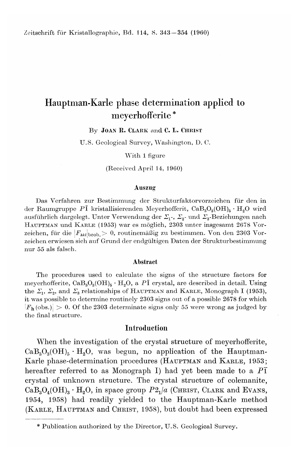# Hauptman-Karle phase determination applied to meyerhofferite \*

By JOAN R. CLARK and C. L. CHRIST

U.S. Geological Survey, Washington, D.C.

With 1 figure

(Received April 14, 1960)

#### Auszug

Das Verfahren zur Bestimmung der Strukturfaktorvorzeichen für den in der Raumgruppe PI kristallisierenden Meyerhofferit, CaB<sub>3</sub>O<sub>3</sub>(OH)<sub>5</sub> · H<sub>2</sub>O wird ausführlich dargelegt. Unter Verwendung der  $\Sigma_1$ -,  $\Sigma_2$ - und  $\Sigma_3$ -Beziehungen nach HAUPTMAN und KARLE (1953) war es moglich, 2303 unter insgesamt 2678 Vorzeichen, für die  $|F_{hk}|_{\text{beob}} > 0$ , routinemäßig zu bestimmen. Von den 2303 Vorzeichen erwiesen sich auf Grund der endgültigen Daten der Strukturbestimmung nur 55 als falsch.

#### Abstract

The procedures used to calculate the signs of the structure factors for meyerhofferite,  $CaB_3O_3(OH)_5 \cdot H_2O$ , a  $P\bar{1}$  crystal, are described in detail. Using the  $\Sigma_1$ ,  $\Sigma_2$ , and  $\Sigma_3$  relationships of HAUPTMAN and KARLE, Monograph I (1953), it was possible to determine routinely 2303 signs out of a possible 2678 for which  $|F_h(\text{obs.})| > 0.$  Of the 2303 determinate signs only 55 were wrong as judged by the final structure.

#### Introduction

When the investigation of the crystal structure of meyerhofferite,  $CaB<sub>3</sub>O<sub>3</sub>(OH)<sub>5</sub> · H<sub>2</sub>O$ , was begun, no application of the Hauptma Karle phase-determination procedures (HAUPTMAN and KARLE, 1953; hereafter referred to as Monograph I) had yet been made to a *PI* crystal of unknown structure. The crystal structure of colemanite,  $CaB_3O_4(OH)_3 \cdot H_2O$ , in space group  $P2_1/a$  (CHRIST, CLARK and EVANS, 1954, 1958) had readily yielded to the Hauptman-Karle method (KARLE, HAUPTMAN and CHRIST, 1958), but doubt had been expressed

<sup>\*</sup> Publication authorized by the Director, U.S. Geological Survey.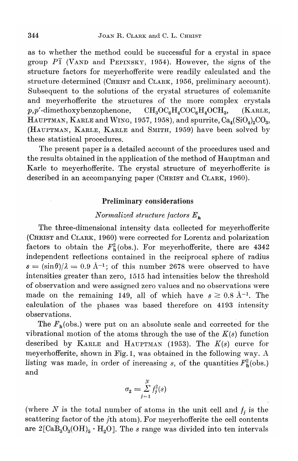as to whether the method could be successful for a crystal in space group *PI* (VANDand PEPINSKY, 1954). However, the signs of the structure factors for meyerhofferite were readily calculated and the structure determined (CHRIST and CLARK, 1956, preliminary account). Subsequent to the solutions of the crystal structures of colemanite and meyerhofferite the structures of the more complex crystals  $p, p'$ -dimethoxybenzophenone,  $CH_3OC_6H_4COC_6H_4OCH_3$ , (KARLE, HAUPTMAN, KARLE and WING, 1957, 1958), and spurrite,  $Ca_4(SiO_4)_2CO_3$ , (HAUPTMAN, KARLE, KARLE and SMITH, 1959) have been solved by these statistical procedures.

The present paper is a detailed account of the procedures used and the results obtained in the application of the method of Hauptman and Karle to meyerhofferite. The crystal structure of meyerhofferite is described in an accompanying paper (CHRIST and CLARK, 1960).

# Preliminary considerations

# *Normalized structure factors E h*

The three-dimensional intensity data collected for meyerhofferite (CHRIST and CLARK, 1960) were corrected for Lorentz and polarization factors to obtain the  $F_h^2$  (obs.). For meyerhofferite, there are 4342 independent reflections contained in the reciprocal sphere of radius  $s = (\sin \theta)/\lambda = 0.9$  Å<sup>-1</sup>; of this number 2678 were observed to have intensities greater than zero, 1515 had intensities below the threshold of observation and were assigned zero values and no observations were made on the remaining 149, all of which have  $s \geq 0.8$  Å<sup>-1</sup>. The calculation of the phases was based therefore on 4193 intensity observations.

The  $F_h$ (obs.) were put on an absolute scale and corrected for the vibrational motion of the atoms through the use of the  $K(s)$  function described by KARLE and HAUPTMAN(1953). The *K(s)* curve for meyerhofferite, shown in Fig. 1, was obtained in the following way. A listing was made, in order of increasing *s*, of the quantities  $F<sub>b</sub><sup>2</sup>(obs.)$ and

$$
\sigma_2 = \sum_{j=1}^N f_j^2(s)
$$

(where  $N$  is the total number of atoms in the unit cell and  $f_i$  is the scattering factor of the *j*th atom). For meyerhofferite the cell contents are  $2[\text{CaB}_3\text{O}_3(\text{OH})_5 \cdot \text{H}_2\text{O}]$ . The *s* range was divided into ten intervals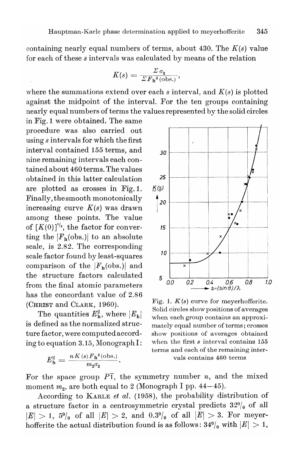containing nearly equal numbers of terms, about 430. The  $K(s)$  value for each of these s intervals was calculated by means of the relation

$$
K(s) = \frac{\Sigma \sigma_2}{\Sigma F_{\mathrm{h}}^2(\mathrm{obs.})},
$$

where the summations extend over each  $s$  interval, and  $K(s)$  is plotted against the midpoint of the interval. For the ten groups containing nearly equal numbers of terms the values represented by the solid circles

in Fig. 1 were obtained. The same procedure was also carried out using  $s$  intervals for which the first interval contained 155 terms, and nine remaining intervals each contained about 460 terms. The values obtained in this latter calculation are plotted as crosses in Fig.1. Finally, the smooth monotonically increasing curve  $K(s)$  was drawn among these points. The value of  $[K(0)]^{1/2}$ , the factor for converting the  $|F_{h}$ (obs.) to an absolute scale, is 2.82. The corresponding scale factor found by least-squares comparison of the  $|F_h({\rm obs.})|$  and the structure factors calculated from the final atomic parameters has the concordant value of 2.86 (CHRIST and CLARK, 1960).

The quantities  $E_{h}^{2}$ , where  $|E_{h}|$ is defined as the normalized structure factor, were computed according to equation 3.15, Monograph I:

$$
E_{\mathbf{h}}^2 = \frac{n K(s) F_{\mathbf{h}}^2(\text{obs.})}{m_2 \sigma_2}.
$$



Fig. 1.  $K(s)$  curve for meyerhofferite. Solid circles show positions of averages when each group contains an approximately equal number of terms; crosses show positions of averages obtained when the first  $s$  interval contains  $155$ terms and each of the remaining intervals contains 460 terms

For the space group  $P\overline{1}$ , the symmetry number n, and the mixed moment  $m_2$ , are both equal to 2 (Monograph I pp. 44–45).

According to KARLE et al. (1958), the probability distribution of a structure factor in a centrosymmetric crystal predicts  $32\%$  of all  $|E| > 1$ ,  $5\%$  of all  $|E| > 2$ , and  $0.3\%$  of all  $|E| > 3$ . For meyerhofferite the actual distribution found is as follows:  $34\frac{0}{0}$  with  $|E| > 1$ ,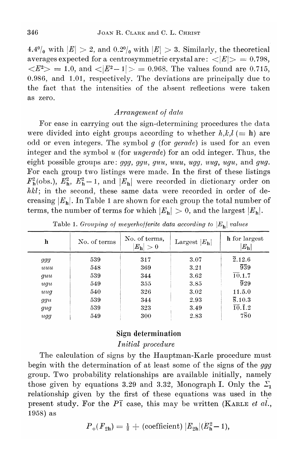4.4<sup>0</sup>/<sub>0</sub> with  $|E| > 2$ , and 0.2<sup>0</sup>/<sub>0</sub> with  $|E| > 3$ . Similarly, the theoretical averages expected for a centrosymmetric crystal are:  $\langle E| \rangle = 0.798$ ,  $\langle E^2 \rangle = 1.0$ , and  $\langle E^2 - 1| \rangle = 0.968$ . The values found are 0.715, 0.986, and 1.01, respectively. The deviations are principally due to the fact that the intensities of the absent reflections were taken as zero.

# *Arrangement of data*

For ease in carrying out the sign-determining procedures the data were divided into eight groups according to whether  $h, k, l \equiv h$  are odd or even integers. The symbol *g* (for *gerade)* is used for an even integer and the symbol *u* (for *ungerade)* for an odd integer. Thus, the eight possible groups are: *ggg, ggu, guu, uuu, ugg, uug, ugu,* and *gug.* For each group two listings were made. In the first of these listings  $F_h^2$ (obs.),  $E_h^2$ ,  $E_h^2 - 1$ , and  $|E_h|$  were recorded in dictionary order on *hkl;* in the second, these same data were recorded in order of decreasing  $|E_h|$ . In Table 1 are shown for each group the total number of terms, the number of terms for which  $|E_h| > 0$ , and the largest  $|E_h|$ .

| ħ        | No. of terms | No. of terms,<br>$ E_\mathbf{h} >0$ | Largest $ E_{\mathbf{h}} $ | h for largest<br>$ E_{\rm h} $  |
|----------|--------------|-------------------------------------|----------------------------|---------------------------------|
| ggg      | 539          | 317                                 | 3.07                       | 2.12.6                          |
| uuu      | 548          | 369                                 | 3.21                       | 939                             |
| guu      | 539          | 344                                 | 3.62                       | 10.1.7                          |
| ugu      | 549          | 355                                 | 3.85                       | $\overline{9}29$                |
| uuq      | 540          | 326                                 | $3.02\,$                   | 11.5.0                          |
| ggu      | 539          | 344                                 | 2.93                       | 8.10.3                          |
| gug      | 539          | 323                                 | 3.49                       | $\overline{10}. \overline{1}.2$ |
| $\mu$ gg | 549          | 300                                 | 2.83                       | 780                             |

Table 1. *Grouping* of *meyerhofferite data according* to  $|E_h|$  *values* 

# Sign determination

*Initial procedure*

The calculation of signs by the Hauptman-Karle procedure must begin with the determination of at least some of the signs of the *ggg* group. Two probability relationships are available initially, namely those given by equations 3.29 and 3.32, Monograph I. Only the  $\Sigma_1$ relationship given by the first of these equations was used in the present study. For the *PI* case, this may be written (KARLE *et al.,* 1958) as

$$
P_{+}(F_{2h}) = \frac{1}{2} + (\text{coefficient}) |E_{2h}|(E_{h}^{2}-1),
$$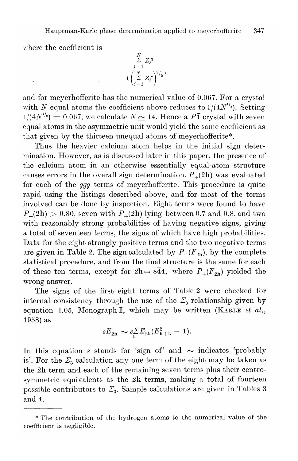where the coefficient is

$$
\frac{\sum\limits_{j=1}^N Z_j^3}{4\left(\sum\limits_{j=1}^N Z_j^2\right)^{3/2}},
$$

and for meyerhofferite has the numerical value of 0.067. For a crystal with *N* equal atoms the coefficient above reduces to  $1/(4N^{1/2})$ . Setting  $d/(4N^{1/2}) = 0.067$ , we calculate  $N \simeq 14$ . Hence a  $P\overline{1}$  crystal with seven equal atoms in the asymmetric unit would yield the same coefficient as that given by the thirteen unequal atoms of meyerhofferite\*.

Thus the heavier calcium atom helps in the initial sign determination. However, as is discussed later in this paper, the presence of the calcium atom in an otherwise essentially equal-atom structure causes errors in the overall sign determination,  $P_+(2h)$  was evaluated for each of the *ggg* terms of meyerhofferite. This procedure is quite rapid using the listings described above, and for most of the terms involved can be done by inspection. Eight terms were found to have  $P_{+}(2h) > 0.80$ , seven with  $P_{+}(2h)$  lying between 0.7 and 0.8, and two with reasonably strong probabilities of having negative signs, giving a total of seventeen terms, the signs of which have high probabilities. Data for the eight strongly positive terms and the two negative terms are given in Table 2. The sign calculated by  $P_+(F_{2h})$ , by the complete statistical procedure, and from the final structure is the same for each of these ten terms, except for  $2h=8\overline{4}4$ , where  $P_+(F_{2h})$  yielded the wrong answer.

The signs of the first eight terms of Table 2 were checked for internal consistency through the use of the  $\mathcal{Z}_{\mathbf{3}}$  relationship given by equation 4.05, Monograph I, which may be written (KARLE *et al.,* 1958) as

$$
sE_{2h} \sim s\sum_{k} E_{2k}(E_{h+k}^2 - 1).
$$

In this equation *s* stands for 'sign of' and  $\sim$  indicates 'probably is'. For the  $\varSigma_{\mathbf{3}}$  calculation any one term of the eight may be taken as the 2h term and each of the remaining seven terms plus their centrosymmetric equivalents as the 2k terms, making a total of fourteen possible contributors to  $\mathcal{Z}_{3}.$  Sample calculations are given in Tables 3 and 4.

<sup>\*</sup> The contribution of the hydrogen atoms to the numerical value of the coefficient is negligible.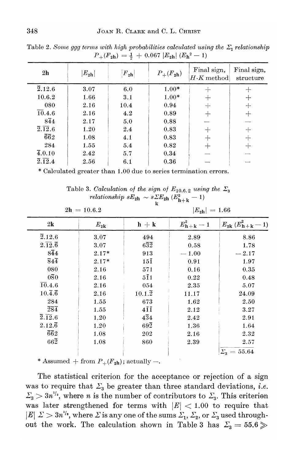| 2 <sub>h</sub>                 | $ E_{\rm 2h} $ | $F_{\bf 2h}$ | $P_+(F_{2h})$ | Final sign,<br>$H-K$ method | Final sign,<br>structure |
|--------------------------------|----------------|--------------|---------------|-----------------------------|--------------------------|
| 2.12.6                         | 3.07           | 6.0          | $1.00*$       | $\mathrm{+}$                |                          |
| 10.6.2                         | 1.66           | 3.1          | $1.00*$       | $^+$                        |                          |
| 080                            | 2.16           | 10.4         | 0.94          | ┿                           | $\div$                   |
| 10.4.6                         | 2.16           | 4.2          | 0.89          |                             | ┿                        |
| $8\bar{4}4$                    | 2.17           | 5.0          | 0.88          |                             |                          |
| $\overline{2}.\overline{12}.6$ | 1.20           | 2.4          | 0.83          | $\hspace{0.1mm} +$          | ┿                        |
| $\bar{6}\bar{6}2$              | 1.08           | 4.1          | 0.83          | $^{+}$                      | $^{+}$                   |
| 284                            | 1.55           | 5.4          | 0.82          | ┿                           | ┿                        |
| $\overline{4}$ , 0.10          | 2.42           | 5.7          | 0.34          |                             |                          |
| $\overline{2.12.4}$            | 2.56           | 6.1          | 0.36          |                             |                          |

 $\Gamma$ able 2. *Some ggg terms with high probabilities calculated using the*  $\Sigma_1$  *relationsh*  $P_{+}(F_{2h}) = \frac{1}{2} + 0.067 |E_{2h}| (E_{h}^{2} - 1)$ 

\* Calculated greater than 1.00 due to series termination errors.

|                        | Table 3. Calculation of the sign of $E_{10.6,2}$ using the $\Sigma_3$                                                   |
|------------------------|-------------------------------------------------------------------------------------------------------------------------|
|                        | $\mathit{relationship}\ sE_{\textrm{2h}}\ \sim\ s\varSigma E_{\textrm{2h}}\ (E_{\textrm{h}+\textrm{k}}^{\textrm{2}}-1)$ |
|                        |                                                                                                                         |
| $2\mathbf{h} = 10.6.2$ | $ E_{\rm 2h}  = 1.66$                                                                                                   |

|                                | $21 - 10.0.2$ |                             | $ E_{2h}  = 1.00$                        |                            |  |  |  |
|--------------------------------|---------------|-----------------------------|------------------------------------------|----------------------------|--|--|--|
| 2k                             | $E_{\rm 2k}$  | $h + k$                     | $E_{\mathbf{h}+\mathbf{k}}^2-\mathbf{1}$ | $E_{2k}$ ( $E_{h+k}^2-1$ ) |  |  |  |
| 2.12.6                         | 3.07          | 494                         | 2.89                                     | 8.86                       |  |  |  |
| $2.\overline{12}.\overline{6}$ | 3.07          | $6\overline{3}\overline{2}$ | 0.58                                     | 1.78                       |  |  |  |
| $8\bar{4}4$                    | $2.17*$       | 913                         | $-1.00$                                  | $-2.17$                    |  |  |  |
| $84\overline{4}$               | $2.17*$       | $15\bar{1}$                 | 0.91                                     | 1.97                       |  |  |  |
| 080                            | 2.16          | 571                         | 0.16                                     | 0.35                       |  |  |  |
| $0\overline{8}0$               | 2.16          | $5\overline{1}1$            | 0.22                                     | 0.48                       |  |  |  |
| 10.4.6                         | 2.16          | 054                         | 2.35                                     | 5.07                       |  |  |  |
| $10.\bar{4}.\bar{6}$           | 2.16          | $10.1.\overline{2}$         | 11.17                                    | 24.09                      |  |  |  |
| 284                            | 1.55          | 673                         | 1.62                                     | 2.50                       |  |  |  |
| $\bar{2}\bar{8}\bar{4}$        | 1.55          | $4\bar{1}\bar{1}$           | 2.12                                     | 3.27                       |  |  |  |
| $2.\overline{12}.6$            | 1.20          | $4\bar{3}4$                 | 2.42                                     | 2.91                       |  |  |  |
| $2.12.\overline{6}$            | 1.20          | $69\overline{2}$            | 1.36                                     | 1.64                       |  |  |  |
| $\bar{6}\bar{6}2$              | 1.08          | 202                         | 2.16                                     | 2.32                       |  |  |  |
| $66\overline{2}$               | 1.08          | 860                         | 2.39                                     | 2.57                       |  |  |  |
|                                |               |                             |                                          | $\Sigma_{2} = 55.64$       |  |  |  |

\* Assumed + from  $P_+(F_{2h})$ ; actually -.

The statistical criterion for the acceptance or rejection of a sign was to require that  $\Sigma_3$  be greater than three standard deviations, *i.e.*  $\sum_{3}$   $>$  3n<sup>1/<sub>2</sub></sup>, where *n* is the number of contributors to  $\sum_{3}$ . This criterion was later strengthened for terms with  $|E| < 1.00$  to require that  $|E|$   $\sum$   $>$  3n<sup>1</sup><sup>2</sup>, where  $\sum$  is any one of the sums  $\sum_1$ ,  $\sum_2$ , or  $\sum_3$  used throughout the work. The calculation shown in Table 3 has  $\Sigma_3=55.6 \gg$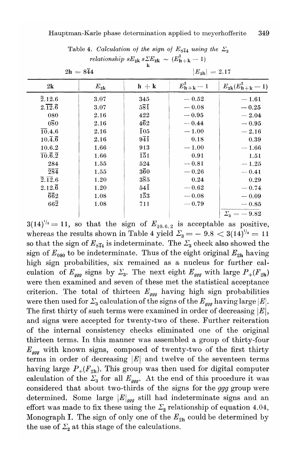|                                    | $2h = 8\overline{4}4$ |                             | $ E_{\rm 2h}  = 2.17$ |                          |  |  |  |  |  |
|------------------------------------|-----------------------|-----------------------------|-----------------------|--------------------------|--|--|--|--|--|
| 2k                                 | ${E}_{\rm 2k}$        | $h + k$                     | $E_{\bf h+k}^2-1$     | $E_{2k}(E_{h+k}^2-1)$    |  |  |  |  |  |
| $\overline{2}.12.6$                | 3.07                  | 345                         | $-0.52$               | $-1.61$                  |  |  |  |  |  |
| $2.\overline{12}.\overline{6}$     | 3.07                  | 58Ī                         | $-0.08$               | $-0.25$                  |  |  |  |  |  |
| 080                                | 2.16                  | 422                         | $-0.95$               | $-2.04$                  |  |  |  |  |  |
| $0\overline{8}0$                   | 2.16                  | 462                         | $-0.44$               | $-0.95$                  |  |  |  |  |  |
| 10.4.6                             | 2.16                  | $\overline{105}$            | $-1.00$               | $-2.16$                  |  |  |  |  |  |
| $10.\bar{4}.\bar{6}$               | 2.16                  | $9\overline{4}\overline{1}$ | 0.18                  | 0.39                     |  |  |  |  |  |
| 10.6.2                             | 1.66                  | 913                         | $-1.00$               | $-1.66$                  |  |  |  |  |  |
| $\overline{10.6}$ . $\overline{2}$ | 1.66                  | $\bar{1}\bar{5}1$           | 0.91                  | 1.51                     |  |  |  |  |  |
| 284                                | 1.55                  | 524                         | $-0.81$               | $-1.25$                  |  |  |  |  |  |
| 284                                | 1.55                  | $3\bar{6}0$                 | $-0.26$               | $-0.41$                  |  |  |  |  |  |
| $\overline{2}.\overline{12}.6$     | 1.20                  | $3\overline{8}5$            | 0.24                  | 0.29                     |  |  |  |  |  |
| $2.12.\overline{6}$                | 1.20                  | 54Ī                         | $=0.62$               | $-0.74$                  |  |  |  |  |  |
| $\bar{6}\bar{6}2$                  | 1.08                  | 153                         | $-0.08$               | $-0.09$                  |  |  |  |  |  |
| $66\overline{2}$                   | 1.08                  | 711                         | $-0.79$               | $-0.85$                  |  |  |  |  |  |
|                                    |                       |                             |                       | $\Sigma_{\rm s} = -9.82$ |  |  |  |  |  |

Table 4. *Calculation of the sign of*  $E_{8\bar{4}4}$  *using the*  $\Sigma_3$  $relationship$   $sE_{2k}$   $s\Sigma E_{2k} \sim (E_{n+k}^2 - 1)$ 

 $3(14)^{1/2} = 11$ , so that the sign of  $E_{10.6, 2}$  is acceptable as positive, whereas the results shown in Table 4 yield  $\mathcal{L}_3 = -9.8 < 3(14)^{1/2} = 11$ so that the sign of  $E_{\text{8I4}}$  is indeterminate. The  $\Sigma_3$  check also showed the sign of  $E_{080}$  to be indeterminate. Thus of the eight original  $E_{2h}$  having high sign probabilities, six remained as a nucleus for further calculation of  $E_{ggg}$  signs by  $\Sigma$ <sub>3</sub>. The next eight  $E_{ggg}$  with large  $P_+(F_{2h})$ were then examined and seven of these met the statistical acceptance criterion. The total of thirteen  $E_{\text{qqg}}$  having high sign probabilities were then used for  $\mathcal{L}_3$  calculation of the signs of the  $E_{ggg}$  having large  $|E|$ . The first thirty of such terms were examined in order of decreasing  $|E|$ , and signs were accepted for twenty-two of these. Further reiteration of the internal consistency checks eliminated one of the original thirteen terms. In this manner was assembled a group of thirty-four *Eggg* with known signs, composed of twenty-two of the first thirty terms in order of decreasing  $|E|$  and twelve of the seventeen terms having large  $P_+(F_{2h})$ . This group was then used for digital computer calculation of the  $\Sigma_3$  for all  $E_{ggg}$ . At the end of this procedure it was considered that about two-thirds of the signs for the *ggg* group were determined. Some large  $|E|_{\text{ggg}}$  still had indeterminate signs and an effort was made to fix these using the  $\Sigma_2$  relationship of equation 4.04 Monograph I. The sign of only one of the  $E_{2h}$  could be determined by the use of  $\Sigma_2$  at this stage of the calculations.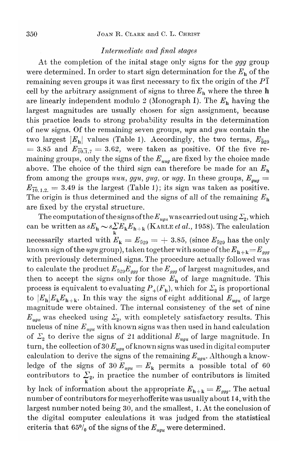### *Intermediate and final stages*

At the completion of the inital stage only signs for the *ggg* group were determined. In order to start sign determination for the  $E<sub>h</sub>$  of the remaining seven groups it was first necessary to fix the origin of the *PI* cell by the arbitrary assignment of signs to three  $E<sub>h</sub>$  where the three h are linearly independent modulo 2 (Monograph I). The  $E_h$  having the largest magnitudes are usually chosen for sign assignment, because this practice leads to strong probability results in the determination of new signs. Of the remaining seven groups, *ugu* and *guu* contain the two largest  $|E_{\mathbf{h}}|$  values (Table 1). Accordingly, the two terms,  $E_{\bar{9}29}$  $=$  3.85 and  $E_{\overline{10,1,7}}=$  3.62, were taken as positive. Of the five remaining groups, only the signs of the  $E_{uuq}$  are fixed by the choice made above. The choice of the third sign can therefore be made for an  $E_h$ from among the groups *uuu, ggu, gug,* or *ugg.* In these groups,  $E_{\textit{gug}} =$  $E_{\overline{10},1,2.} = 3.49$  is the largest (Table 1); its sign was taken as positive. The origin is thus determined and the signs of all of the remaining  $E<sub>h</sub>$ are fixed by the crystal structure.

The computation of the signs of the  $E_{\mathit{ugu}}$  was carried out using  $\mathcal{Z}_{\mathbf{2}}$ , which  $c$  an be written as  $sE_{\rm h} \thicksim$   $s{\sum\limits_{\rm k}}E_{\rm h+k}$  (KARLE *et al.,* 1958). The calculation necessarily started with  $E_{\mathbf{k}} = E_{\bar{9}29} = +3.85$ , (since  $E_{\bar{9}29}$  has the only known sign of the *ugu* group), taken together with some of the  $E_{h+k}=E_{ggg}$ with previously determined signs. The procedure actually followed was to calculate the product  $E_{\bar{9}29}E_{ggg}$  for the  $E_{ggg}$  of largest magnitudes, and then to accept the signs only for those  $E<sub>h</sub>$  of large magnitude. This process is equivalent to evaluating  ${P}_{+}(F_{\rm h}),$  which for  $\mathcal{Z}_{\rm 2}$  is proportiona to  $|E_h|E_kE_{h+k}$ . In this way the signs of eight additional  $E_{uu}$  of large magnitude were obtained. The internal consistency of the set of nine  $E_{\textit{ugu}}$  was checked using  $\Sigma_{2}$ , with completely satisfactory results. This nucleus of nine  $E_{uu}$  with known signs was then used in hand calculation of  $\Sigma_2$  to derive the signs of 21 additional  $E_{ugu}$  of large magnitude. In turn, the collection of  $30 E_{uu}$  of known signs was used in digital computer calculation to derive the signs of the remaining  $E_{ugu}$ . Although a knowledge of the signs of 30  $E_{uqu} = E_k$  permits a possible total of 60 contributors to  $\sum_{k}$ , in practice the number of contributors is limited by lack of information about the appropriate  $E_{h+k} = E_{ggg}$ . The actual number of contributors for meyerhofferite was usually about 14, with the largest number noted being 30, and the smallest, 1. At the conclusion of the digital computer calculations it was judged from the statistical criteria that  $65\%$  of the signs of the  $E_{uu}$  were determined.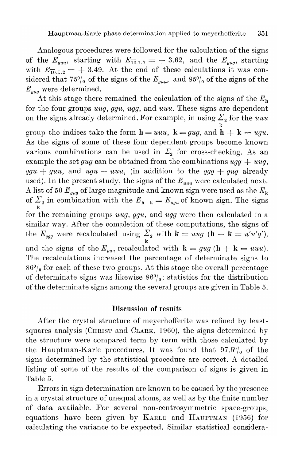Analogous procedures were followed for the calculation of the signs of the  $E_{\text{gau}}$ , starting with  $E_{\overline{10},1.7} = +3.62$ , and the  $E_{\text{gug}}$ , starting with  $E_{\overline{10},\overline{1},2} = +3.49$ . At the end of these calculations it was considered that  $75\%$  of the signs of the  $E_{guu}$ , and  $85\%$  of the signs of the *Egug* were determined.

At this stage there remained the calculation of the signs of the  $E<sub>h</sub>$ for the four groups *uuq, gg'u, ugg,* and *uuu.* These signs are dependent on the signs already determined. For example, in using  $\Sigma_{2}$  for the *uut* k group the indices take the form  $h = uuu$ ,  $k = gug$ , and  $h + k = ugu$ . As the signs of some of these four dependent groups become known various combinations can be used in  $\Sigma_2$  for cross-checking. As an example the set *gug* can be obtained from the combinations  $ugg + uug$ ,  $ggu + guu$ , and  $ugu + uuu$ , (in addition to the  $ggg + gug$  already used). In the present study, the signs of the *Euuu* were calculated next. A list of 50  $E_{\textit{gug}}$  of large magnitude and known sign were used as the  $E_{\textit{k}}$ of  $\Sigma_2$  in combination with the  $E_{h+k} = E_{uyu}$  of known sign. The signs k for the remaining groups *uuq, ggu,* and *ugg* were then calculated in a similar way. After the completion of these computations, the signs of the  $E_{ggg}$  were recalculated using  $\sum_{k}$  with  $k = uug$  ( $h + k = u'u'g'$ ) and the signs of the  $E_{uu}$  recalculated with  $\mathbf{k} = gug(\mathbf{h} + \mathbf{k} = uuu)$ . The recalculations increased the percentage of determinate signs to  $86\%$  for each of these two groups. At this stage the overall percentage of determinate signs was likewise  $86\frac{0}{0}$ ; statistics for the distribution of the determinate signs among the several groups are given in Table 5.

### Discussion of results

After the crystal structure of meyerhofferite was refined by leastsquares analysis (CHRIST and CLARK, 1960), the signs determined by the structure were compared term by term with those calculated by the Hauptman-Karle procedures. It was found that  $97.5\%$  of the signs determined by the statistical procedure are correct. A detailed listing of some of the results of the comparison of signs is given in Table 5.

Errors in sign determination are known tobe caused by the presence in a crystal structure of unequal atoms, as well as by the finite number of data available. For several non-centrosymmetric space-groups, equations have been given by KARLE and HAUPTMAN (1956) for calculating the variance to be expected. Similar statistical considera-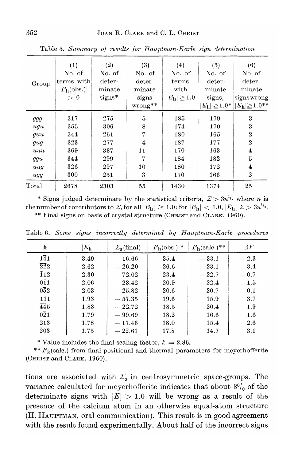| Group                                                | (1)<br>No. of<br>terms with<br>$ F_{h}$ (obs.)<br>> 0 | (2)<br>No. of<br>deter-<br>minate<br>$signs*$        | (3)<br>No. of<br>deter-<br>minate<br>signs<br>$wrong**$ | (4)<br>No. of<br>terms<br>with<br>$ E_{\bf h}  \geqq 1.0$ | (5)<br>No. of<br>deter-<br>minate<br>signs,<br>$ E_\text{h}  \geq 1.0^* $ | (6)<br>No. of<br>deter-<br>minate<br>signswrong<br>$ E_{\bf h}  \geq 1.0**$                         |
|------------------------------------------------------|-------------------------------------------------------|------------------------------------------------------|---------------------------------------------------------|-----------------------------------------------------------|---------------------------------------------------------------------------|-----------------------------------------------------------------------------------------------------|
| ggg<br>ugu<br>guu<br>gug<br>uuu<br>ggu<br>uug<br>ugg | 317<br>355<br>344<br>323<br>369<br>344<br>326<br>300  | 275<br>306<br>261<br>277<br>337<br>299<br>297<br>251 | 5<br>8<br>7<br>$\overline{4}$<br>11<br>7<br>10<br>3     | 185<br>174<br>180<br>187<br>170<br>184<br>180<br>170      | 179<br>170<br>165<br>177<br>163<br>182<br>172<br>166                      | 3<br>3<br>$\overline{2}$<br>$\overline{2}$<br>$\overline{\mathbf{4}}$<br>5<br>4<br>$\boldsymbol{2}$ |
| Total                                                | 2678                                                  | 2303                                                 | 55                                                      | 1430                                                      | 1374                                                                      | 25                                                                                                  |

Table 5. Summary of results for Hauptman-Karle sign determination

\* Signs judged determinate by the statistical criteria,  $\Sigma > 3n^{1/2}$  where *n* is the number of contributors to  $\Sigma$ , for all  $|E_h| \ge 1.0$ ; for  $|E_h| < 1.0$ ,  $|E_h| \ge 3n^{1/2}$ .<br>\*\* Final signs on basis of crystal structure (CHRIST and CLARK, 1960).

|  |  |  |  |  |  |  |  |  |  |  |  | ** Final signs on basis of crystal structure (CHRIST and CLARK, 1960 |  |  |  |
|--|--|--|--|--|--|--|--|--|--|--|--|----------------------------------------------------------------------|--|--|--|
|--|--|--|--|--|--|--|--|--|--|--|--|----------------------------------------------------------------------|--|--|--|

| h                           | $ E_{\bf h} $ | $\Sigma_{2}$ (final) | $ F_{h}$ (obs.) * | $F_{\mathbf{h}}(\text{calc.})$ ** | ΑF      |
|-----------------------------|---------------|----------------------|-------------------|-----------------------------------|---------|
| $1\overline{4}1$            | 3.49          | 16.66                | 35.4              | $-33.1$                           | $-2.3$  |
| $\bar{2}\bar{2}2$           | 2.62          | $-26.20$             | 26.6              | 23.1                              | 3.4     |
| $\overline{1}12$            | 2.30          | 72.02                | 23.4              | $-22.7$                           | $-0.7$  |
| $0\bar{1}1$                 | 2.06          | 23.42                | 20.9              | $-22.4$                           | 1.5     |
| $0\overline{5}2$            | 2.03          | $-25.82$             | 20.6              | 20.7                              | $-0.1$  |
| 111                         | 1.93          | $-57.35$             | 19.6              | 15.9                              | 3.7     |
| $\overline{4}\overline{4}5$ | 1.83          | $-22.72$             | 18.5              | 20.4                              | $-1.9$  |
| $0\overline{2}1$            | 1.79          | $-99.69$             | 18.2              | 16.6                              | $1.6\,$ |
| $2\bar{1}3$                 | 1.78          | $-17.46$             | 18.0              | 15.4                              | 2.6     |
| $\overline{2}03$            | 1.75          | $-22.61$             | 17.8              | 14.7                              | 3.1     |

Table 6. Some signs incorrectly determined by Hauptman-Karle procedures

\* Value includes the final scaling factor,  $k = 2.86$ .

\*\*  $F_k$ (calc.) from final positional and thermal parameters for meyerhofferite (CHRIST and CLARK, 1960).

tions are associated with  $\Sigma_2$  in centrosymmetric space-groups. The variance calculated for meyerhofferite indicates that about  $3\%$  of the determinate signs with  $|E| > 1.0$  will be wrong as a result of the presence of the calcium atom in an otherwise equal-atom structure (H. HAUPTMAN, oral communication). This result is in good agreement with the result found experimentally. About half of the incorrect signs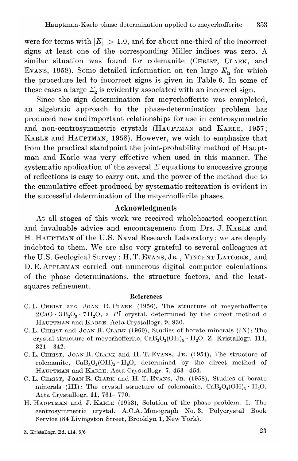were for terms with  $|E| > 1.0$ , and for about one-third of the incorrect signs at least one of the corresponding Miller indices was zero. A similar situation was found for colemanite (CHRIST, CLARK, and EVANS, 1958). Some detailed information on ten large  $E_h$  for which the procedure led to incorrect signs is given in Table 6. In some of these cases a large  $\mathcal{Z}_2$  is evidently associated with an incorrect sign.

Since the sign determination for meyerhofferite was completed, an algebraic approach to the phase-determination problem has produced new and important relationships for use in centrosymmetric and non-centrosymmetric crystals (HAUPTMAN and KARLE, 1957; KARLE and HAUPTMAN, 1958). However, we wish to emphasize that from the practical standpoint the joint-probability method of Hauptman and Karle was very effective when used in this manner. The systematic application of the several  $\Sigma$  equations to successive groups of reflections is easy to carry out, and the power of the method due to the cumulative effect produced by systematic reiteration is evident in the successful determination of the meyerhofferite phases.

# Acknowledgments

At all stages of this work we received wholehearted cooperation and invaluable advice and encouragement from Drs. J. KARLE and H. HAUPTMAN of the U.S. Naval Research Laboratory; we are deeply indebted to them. We are also very grateful to several colleagues at the U.S. Geological Survey: H.T. EVANS, JR., VINCENT LATORRE, and D. E. APPLEMAN carried out numerous digital computer calculations of the phase determinations, the structure factors, and the leastsquares refinement.

#### References

- C. L. CHRIST and JOAN R. CLARK (1956), The structure of meyerhofferite  $2CaO \cdot 3B_2O_3 \cdot 7H_2O$ , a *PI* crystal, determined by the direct method of HAUPTMAN and KARLE. Acta Crystallogr. 9, 830.
- C. L. CHRIST and JOAN R. CLARK (1960), Studies of borate minerals (IX): The crystal structure of meyerhofferite,  $CaB_3O_3(OH)_5 \cdot H_2O$ . Z. Kristallogr. 114,  $321 - 342.$
- C. L. CHRIST, JOAN R. CLARK and H. T. EVANS, Jr. (1954), The structure of colemanite,  $CaB_3O_4(OH)_3 \cdot H_2O$ , determined by the direct method of HAUPTMAN and KARLE. Acta Crystallogr. 7, 453-454.
- C. L. CHRIST, JOAN R. CLARK and H. T. EVANS, JR. (1958), Studies of borate minerals (III): The crystal structure of colemanite,  $CaB_3O_4(OH)_3 \cdot H_2O$ . Acta Crystallogr. 11, 761-770.
- H. HAUPTMAN and J. KARLE (1953), Solution of the phase problem. I. The centrosymmetric crystal. A.C.A. Monograph No.3. Polycrystal Book Service (84 Livingston Street, Brooklyn 1, New York).

Z. Kristallogr. Bd. 114,  $5/6$  23